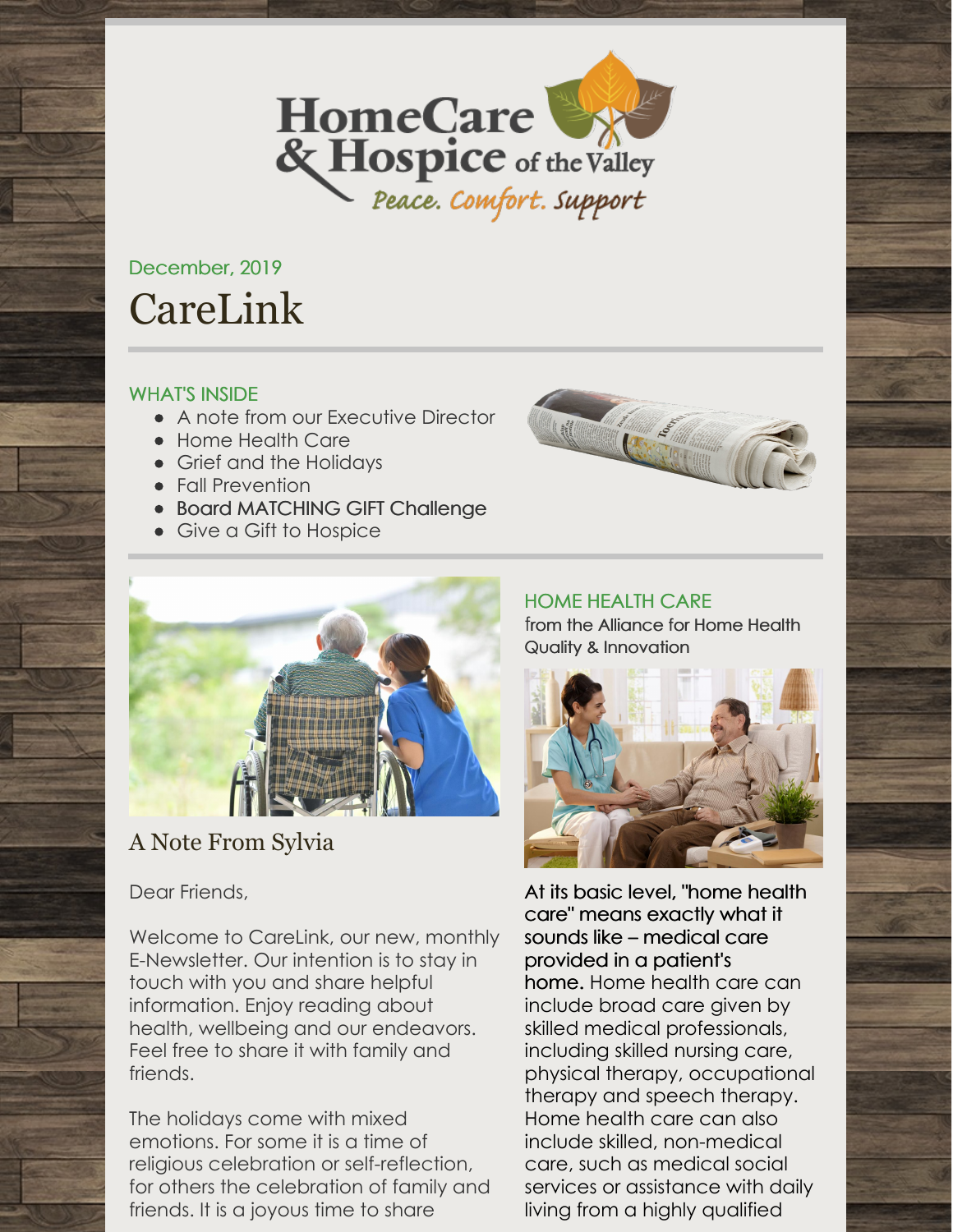

# December, 2019 CareLink

# WHAT'S INSIDE

- A note from our Executive Director
- Home Health Care
- Grief and the Holidays
- Fall Prevention
- Board MATCHING GIFT Challenge
- Give a Gift to Hospice





# A Note From Sylvia

Dear Friends,

Welcome to CareLink, our new, monthly E-Newsletter. Our intention is to stay in touch with you and share helpful information. Enjoy reading about health, wellbeing and our endeavors. Feel free to share it with family and friends.

The holidays come with mixed emotions. For some it is a time of religious celebration or self-reflection, for others the celebration of family and friends. It is a joyous time to share

HOME HEALTH CARE from the Alliance for Home Health Quality & [Innovation](http://ahhqi.org)



At its basic level, "home health care" means exactly what it sounds like – medical care provided in a patient's home. Home health care can include broad care given by skilled medical professionals, including skilled nursing care, physical therapy, occupational therapy and speech therapy. Home health care can also include skilled, non-medical care, such as medical social services or assistance with daily living from a highly qualified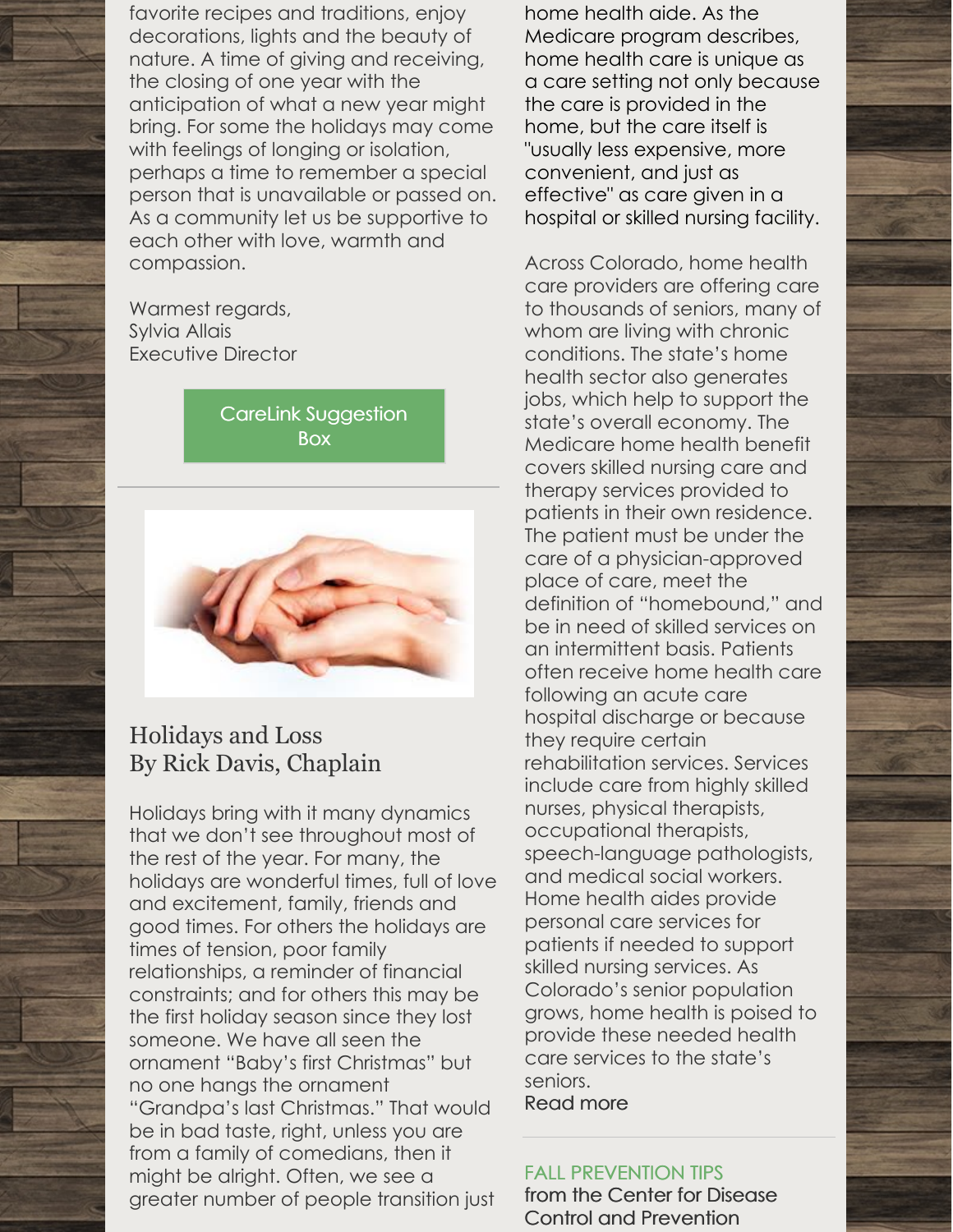favorite recipes and traditions, enjoy decorations, lights and the beauty of nature. A time of giving and receiving, the closing of one year with the anticipation of what a new year might bring. For some the holidays may come with feelings of longing or isolation, perhaps a time to remember a special person that is unavailable or passed on. As a community let us be supportive to each other with love, warmth and compassion.

Warmest regards, Sylvia Allais Executive Director

> CareLink [Suggestion](mailto:twilliams@hchotv.org) **Box**



# Holidays and Loss By Rick Davis, Chaplain

Holidays bring with it many dynamics that we don't see throughout most of the rest of the year. For many, the holidays are wonderful times, full of love and excitement, family, friends and good times. For others the holidays are times of tension, poor family relationships, a reminder of financial constraints; and for others this may be the first holiday season since they lost someone. We have all seen the ornament "Baby's first Christmas" but no one hangs the ornament "Grandpa's last Christmas." That would be in bad taste, right, unless you are from a family of comedians, then it might be alright. Often, we see a greater number of people transition just

home health aide. As the Medicare program describes, home health care is unique as a care setting not only because the care is provided in the home, but the care itself is "usually less expensive, more convenient, and just as effective" as care given in a hospital or skilled nursing facility.

Across Colorado, home health care providers are offering care to thousands of seniors, many of whom are living with chronic conditions. The state's home health sector also generates jobs, which help to support the state's overall economy. The Medicare home health benefit covers skilled nursing care and therapy services provided to patients in their own residence. The patient must be under the care of a physician-approved place of care, meet the definition of "homebound," and be in need of skilled services on an intermittent basis. Patients often receive home health care following an acute care hospital discharge or because they require certain rehabilitation services. Services include care from highly skilled nurses, physical therapists, occupational therapists, speech-language pathologists, and medical social workers. Home health aides provide personal care services for patients if needed to support skilled nursing services. As Colorado's senior population grows, home health is poised to provide these needed health care services to the state's seniors.

[Read](https://www.ahhqi.org/) more

# FALL PREVENTION TIPS

from the Center for Disease Control and [Prevention](https://www.cdc.gov/homeandrecreationalsafety/falls/adultfalls.html)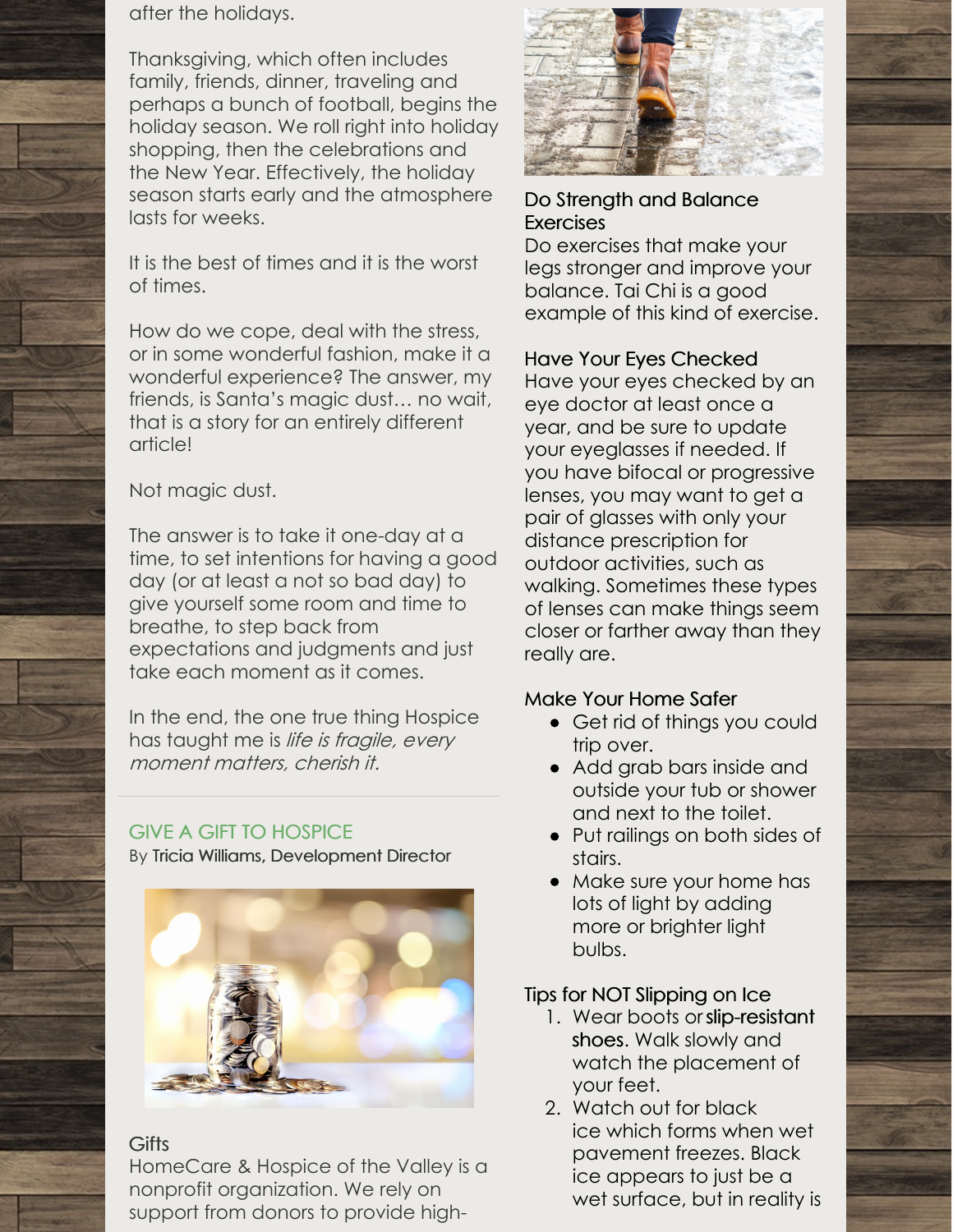after the holidays.

Thanksgiving, which often includes family, friends, dinner, traveling and perhaps a bunch of football, begins the holiday season. We roll right into holiday shopping, then the celebrations and the New Year. Effectively, the holiday season starts early and the atmosphere lasts for weeks.

It is the best of times and it is the worst of times.

How do we cope, deal with the stress, or in some wonderful fashion, make it a wonderful experience? The answer, my friends, is Santa's magic dust… no wait, that is a story for an entirely different article!

# Not magic dust.

The answer is to take it one-day at a time, to set intentions for having a good day (or at least a not so bad day) to give yourself some room and time to breathe, to step back from expectations and judgments and just take each moment as it comes.

In the end, the one true thing Hospice has taught me is life is fragile, every moment matters, cherish it.

# GIVE A GIFT TO HOSPICE

By Tricia Williams, [Development](mailto:twilliams@hchotv.org) Director



# **Gifts**

HomeCare & Hospice of the Valley is a nonprofit organization. We rely on support from donors to provide high-



# Do Strength and Balance **Exercises**

Do exercises that make your legs stronger and improve your balance. Tai Chi is a good example of this kind of exercise.

# Have Your Eyes Checked

Have your eyes checked by an eye doctor at least once a year, and be sure to update your eyeglasses if needed. If you have bifocal or progressive lenses, you may want to get a pair of glasses with only your distance prescription for outdoor activities, such as walking. Sometimes these types of lenses can make things seem closer or farther away than they really are.

# Make Your Home Safer

- Get rid of things you could trip over.
- Add grab bars inside and outside your tub or shower and next to the toilet.
- Put railings on both sides of stairs.
- Make sure your home has lots of light by adding more or brighter light bulbs.

# Tips for NOT Slipping on Ice

- 1. Wear boots [orslip-resistant](https://blog.societyinsurance.com/slip-resistant-shoes-for-employees/) shoes. Walk slowly and watch the placement of your feet.
- 2. Watch out for black ice which forms when wet pavement freezes. Black ice appears to just be a wet surface, but in reality is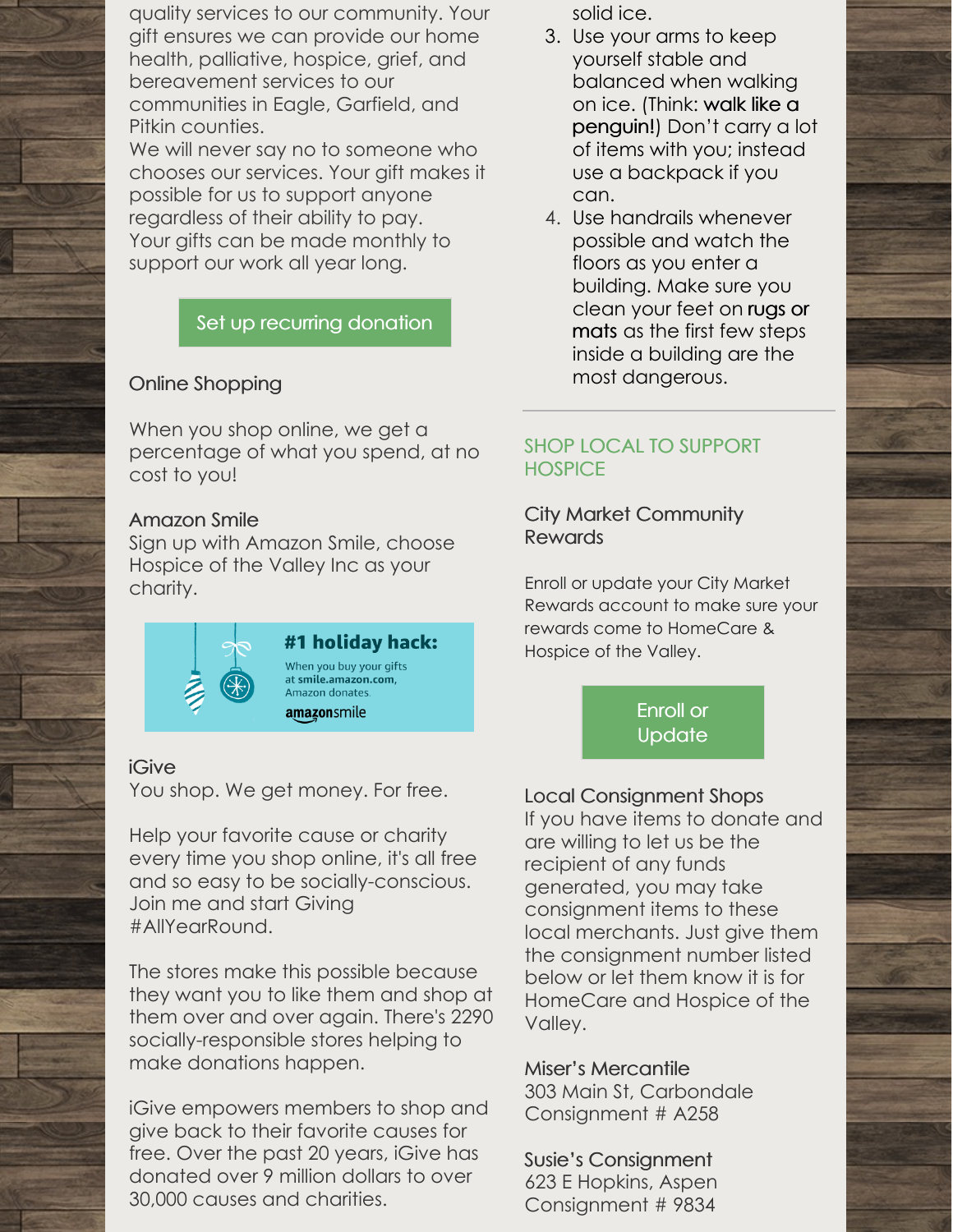quality services to our community. Your gift ensures we can provide our home health, palliative, hospice, grief, and bereavement services to our communities in Eagle, Garfield, and Pitkin counties.

We will never say no to someone who chooses our services. Your gift makes it possible for us to support anyone regardless of their ability to pay. Your gifts can be made monthly to support our work all year long.

# Set up recurring [donation](https://interland3.donorperfect.net/weblink/WebLink.aspx?name=E150410&id=2)

# Online Shopping

When you shop online, we get a percentage of what you spend, at no cost to you!

#### Amazon Smile

Sign up with Amazon Smile, choose Hospice of the Valley Inc as your charity.



# iGive

You shop. We get money. For free.

Help your favorite cause or charity every time you shop online, it's all free and so easy to be socially-conscious. Join me and start Giving #AllYearRound.

The stores make this possible because they want you to like them and shop at them over and over again. There's 2290 socially-responsible stores helping to make donations happen.

iGive empowers members to shop and give back to their favorite causes for free. Over the past 20 years, iGive has donated over 9 million dollars to over 30,000 causes and charities.

solid ice.

- 3. Use your arms to keep yourself stable and balanced when walking on ice. (Think: walk like a [penguin!\)](https://blog.societyinsurance.com/walk-safely-on-ice-like-a-penguin/) Don't carry a lot of items with you; instead use a backpack if you can.
- 4. Use handrails whenever possible and watch the floors as you enter a building. Make sure you [clean](https://blog.societyinsurance.com/prevent-slips-and-falls-with-a-floor-mat-program/) your feet on rugs or mats as the first few steps inside a building are the most dangerous.

# SHOP LOCAL TO SUPPORT **HOSPICE**

# City Market Community Rewards

Enroll or update your City Market Rewards account to make sure your rewards come to HomeCare & Hospice of the Valley.

> Enroll or **[Update](https://www.citymarket.com/signin?redirectUrl=/account/communityrewards/)**

# Local Consignment Shops

If you have items to donate and are willing to let us be the recipient of any funds generated, you may take consignment items to these local merchants. Just give them the consignment number listed below or let them know it is for HomeCare and Hospice of the Valley.

#### Miser's Mercantile

303 Main St, Carbondale Consignment # A258

Susie's Consignment 623 E Hopkins, Aspen Consignment # 9834